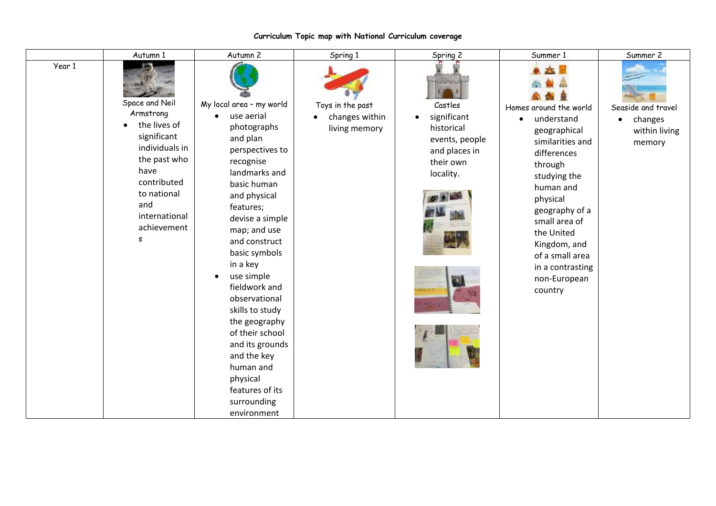|        | Autumn 1                                                                                                                                                                       | Autumn 2                                                                                                                                                                                                                                                                                                                                                                                                                                                                                     | Spring 1                                                         | Spring 2                                                                                                              | Summer 1                                                                                                                                                                                                                                                                                    | Summer 2                                                              |
|--------|--------------------------------------------------------------------------------------------------------------------------------------------------------------------------------|----------------------------------------------------------------------------------------------------------------------------------------------------------------------------------------------------------------------------------------------------------------------------------------------------------------------------------------------------------------------------------------------------------------------------------------------------------------------------------------------|------------------------------------------------------------------|-----------------------------------------------------------------------------------------------------------------------|---------------------------------------------------------------------------------------------------------------------------------------------------------------------------------------------------------------------------------------------------------------------------------------------|-----------------------------------------------------------------------|
| Year 1 | Space and Neil<br>Armstrong<br>the lives of<br>significant<br>individuals in<br>the past who<br>have<br>contributed<br>to national<br>and<br>international<br>achievement<br>s | My local area - my world<br>use aerial<br>$\bullet$<br>photographs<br>and plan<br>perspectives to<br>recognise<br>landmarks and<br>basic human<br>and physical<br>features;<br>devise a simple<br>map; and use<br>and construct<br>basic symbols<br>in a key<br>use simple<br>$\bullet$<br>fieldwork and<br>observational<br>skills to study<br>the geography<br>of their school<br>and its grounds<br>and the key<br>human and<br>physical<br>features of its<br>surrounding<br>environment | Toys in the past<br>changes within<br>$\bullet$<br>living memory | <b>CONTRACTO</b><br>Castles<br>significant<br>historical<br>events, people<br>and places in<br>their own<br>locality. | Homes around the world<br>understand<br>$\bullet$<br>geographical<br>similarities and<br>differences<br>through<br>studying the<br>human and<br>physical<br>geography of a<br>small area of<br>the United<br>Kingdom, and<br>of a small area<br>in a contrasting<br>non-European<br>country | Seaside and travel<br>changes<br>$\bullet$<br>within living<br>memory |

## **Curriculum Topic map with National Curriculum coverage**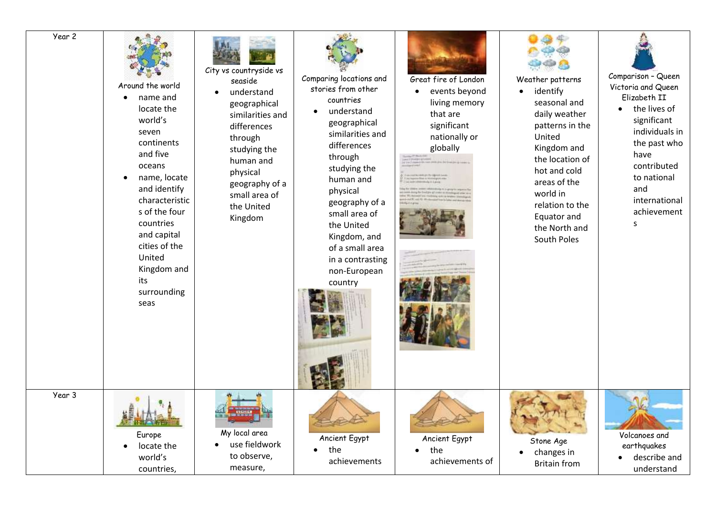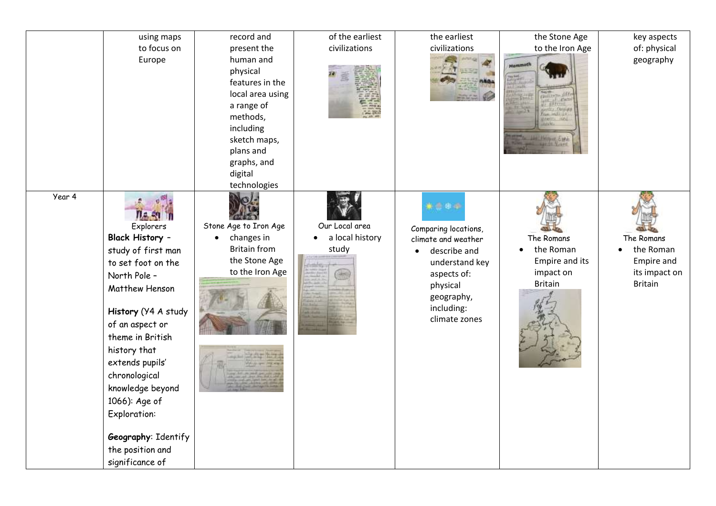|        | using maps<br>to focus on<br>Europe                                                                                                                                                                                                                                                                                                 | record and<br>present the<br>human and<br>physical<br>features in the<br>local area using<br>a range of<br>methods,<br>including<br>sketch maps,<br>plans and | of the earliest<br>civilizations                  | the earliest<br>civilizations                                                                                                                                 | the Stone Age<br>to the Iron Age<br>Mammoth                              | key aspects<br>of: physical<br>geography                                 |
|--------|-------------------------------------------------------------------------------------------------------------------------------------------------------------------------------------------------------------------------------------------------------------------------------------------------------------------------------------|---------------------------------------------------------------------------------------------------------------------------------------------------------------|---------------------------------------------------|---------------------------------------------------------------------------------------------------------------------------------------------------------------|--------------------------------------------------------------------------|--------------------------------------------------------------------------|
| Year 4 | Explorers<br>Black History -<br>study of first man<br>to set foot on the<br>North Pole -<br>Matthew Henson<br>History (Y4 A study<br>of an aspect or<br>theme in British<br>history that<br>extends pupils'<br>chronological<br>knowledge beyond<br>1066): Age of<br><b>Exploration:</b><br>Geography: Identify<br>the position and | graphs, and<br>digital<br>technologies<br>Stone Age to Iron Age<br>changes in<br>$\bullet$<br><b>Britain from</b><br>the Stone Age<br>to the Iron Age         | Our Local area<br>a local history<br>study<br>HH) | ****<br>Comparing locations,<br>climate and weather<br>describe and<br>understand key<br>aspects of:<br>physical<br>geography,<br>including:<br>climate zones | The Romans<br>the Roman<br>Empire and its<br>impact on<br><b>Britain</b> | The Romans<br>the Roman<br>Empire and<br>its impact on<br><b>Britain</b> |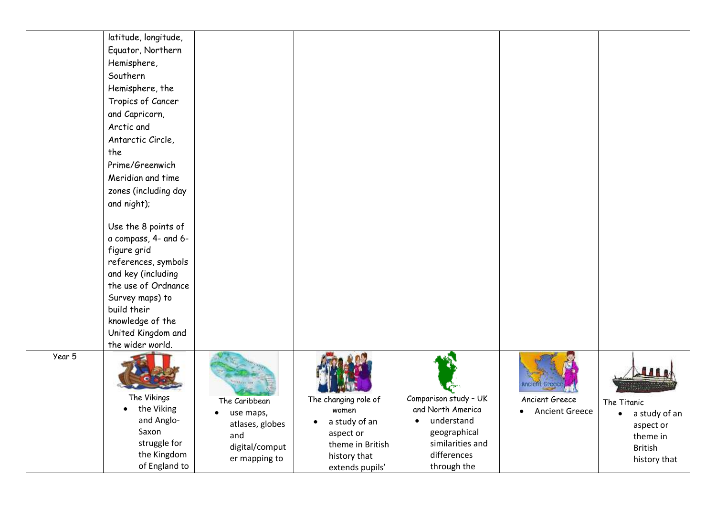|        | latitude, longitude,<br>Equator, Northern<br>Hemisphere,<br>Southern<br>Hemisphere, the<br>Tropics of Cancer<br>and Capricorn,<br>Arctic and<br>Antarctic Circle,<br>the<br>Prime/Greenwich<br>Meridian and time<br>zones (including day<br>and night);<br>Use the 8 points of<br>a compass, 4- and 6-<br>figure grid<br>references, symbols<br>and key (including<br>the use of Ordnance<br>Survey maps) to<br>build their<br>knowledge of the<br>United Kingdom and<br>the wider world. |                                                                                                      |                                                                                                                                 |                                                                                                                                 |                                         |                                                                                                               |
|--------|-------------------------------------------------------------------------------------------------------------------------------------------------------------------------------------------------------------------------------------------------------------------------------------------------------------------------------------------------------------------------------------------------------------------------------------------------------------------------------------------|------------------------------------------------------------------------------------------------------|---------------------------------------------------------------------------------------------------------------------------------|---------------------------------------------------------------------------------------------------------------------------------|-----------------------------------------|---------------------------------------------------------------------------------------------------------------|
| Year 5 | The Vikings<br>• the Viking<br>and Anglo-<br>Saxon<br>struggle for<br>the Kingdom<br>of England to                                                                                                                                                                                                                                                                                                                                                                                        | The Caribbean<br>$\bullet$<br>use maps,<br>atlases, globes<br>and<br>digital/comput<br>er mapping to | The changing role of<br>women<br>a study of an<br>$\bullet$<br>aspect or<br>theme in British<br>history that<br>extends pupils' | Comparison study - UK<br>and North America<br>understand<br>٠<br>geographical<br>similarities and<br>differences<br>through the | Ancient Greece<br><b>Ancient Greece</b> | $-21$<br>The Titanic<br>a study of an<br>$\bullet$<br>aspect or<br>theme in<br><b>British</b><br>history that |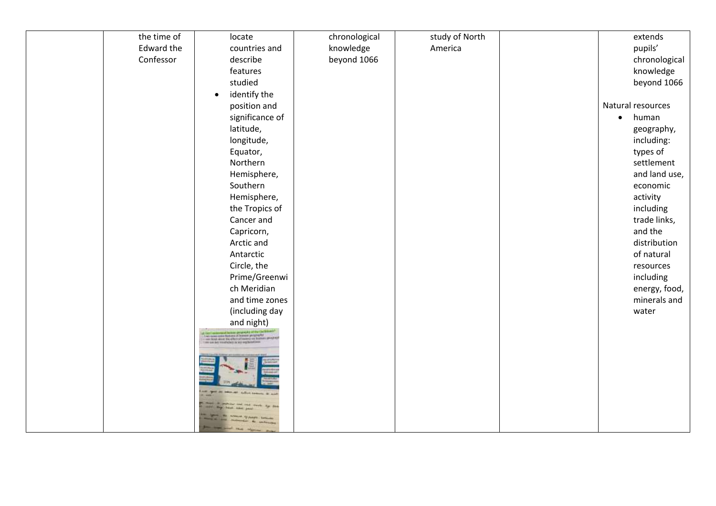| the time of | locate                                                                           | chronological | study of North |                   | extends       |
|-------------|----------------------------------------------------------------------------------|---------------|----------------|-------------------|---------------|
| Edward the  | countries and                                                                    | knowledge     | America        |                   | pupils'       |
| Confessor   | describe                                                                         | beyond 1066   |                |                   | chronological |
|             | features                                                                         |               |                |                   | knowledge     |
|             | studied                                                                          |               |                |                   | beyond 1066   |
|             | identify the<br>$\bullet$                                                        |               |                |                   |               |
|             | position and                                                                     |               |                | Natural resources |               |
|             | significance of                                                                  |               |                | $\bullet$         | human         |
|             | latitude,                                                                        |               |                |                   | geography,    |
|             | longitude,                                                                       |               |                |                   | including:    |
|             | Equator,                                                                         |               |                |                   | types of      |
|             | Northern                                                                         |               |                |                   | settlement    |
|             | Hemisphere,                                                                      |               |                |                   | and land use, |
|             | Southern                                                                         |               |                |                   | economic      |
|             | Hemisphere,                                                                      |               |                |                   | activity      |
|             | the Tropics of                                                                   |               |                |                   | including     |
|             | Cancer and                                                                       |               |                |                   | trade links,  |
|             | Capricorn,                                                                       |               |                |                   | and the       |
|             | Arctic and                                                                       |               |                |                   | distribution  |
|             | Antarctic                                                                        |               |                |                   | of natural    |
|             | Circle, the                                                                      |               |                |                   | resources     |
|             | Prime/Greenwi                                                                    |               |                |                   | including     |
|             | ch Meridian                                                                      |               |                |                   | energy, food, |
|             | and time zones                                                                   |               |                |                   | minerals and  |
|             | (including day                                                                   |               |                |                   | water         |
|             | and night)<br>to show some factorers of borroom gamping by a<br>CRAY (SCREENIST) |               |                |                   |               |
|             |                                                                                  |               |                |                   |               |
|             |                                                                                  |               |                |                   |               |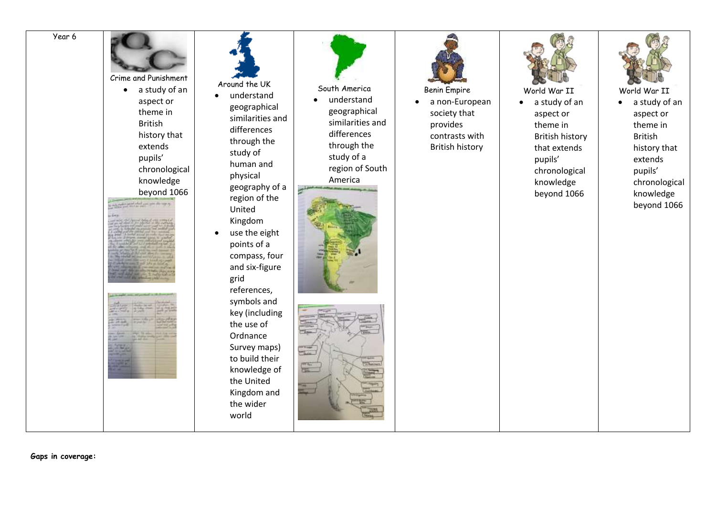